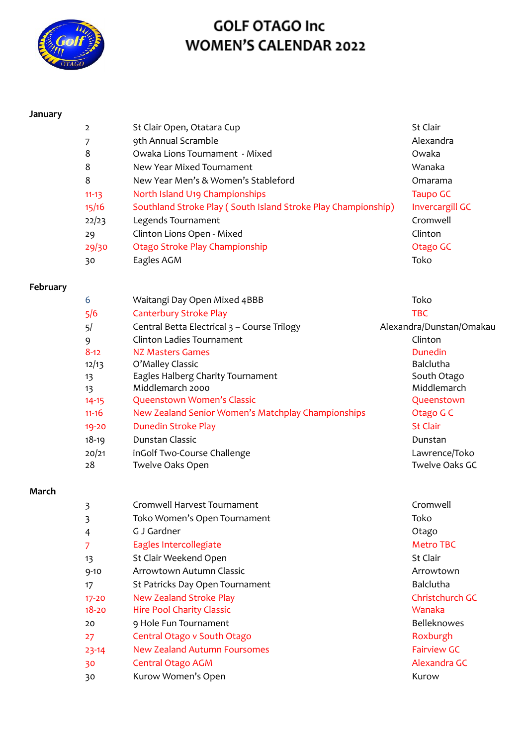

### **January**

| $\mathcal{P}$ | St Clair Open, Otatara Cup                                    | St Clair               |
|---------------|---------------------------------------------------------------|------------------------|
|               | 9th Annual Scramble                                           | Alexandra              |
| 8             | Owaka Lions Tournament - Mixed                                | Owaka                  |
| 8             | New Year Mixed Tournament                                     | Wanaka                 |
| 8             | New Year Men's & Women's Stableford                           | Omarama                |
| $11 - 13$     | North Island U19 Championships                                | Taupo GC               |
| 15/16         | Southland Stroke Play (South Island Stroke Play Championship) | <b>Invercargill GC</b> |
| 22/23         | Legends Tournament                                            | Cromwell               |
| 29            | Clinton Lions Open - Mixed                                    | Clinton                |
| 29/30         | Otago Stroke Play Championship                                | Otago GC               |
| 30            | Eagles AGM                                                    | Toko                   |

#### **February**

| 6         | Waitangi Day Open Mixed 4BBB                       | Toko                     |
|-----------|----------------------------------------------------|--------------------------|
| 5/6       | <b>Canterbury Stroke Play</b>                      | <b>TBC</b>               |
| 5/        | Central Betta Electrical 3 - Course Trilogy        | Alexandra/Dunstan/Omakau |
| 9         | Clinton Ladies Tournament                          | Clinton                  |
| $8 - 12$  | NZ Masters Games                                   | Dunedin                  |
| 12/13     | O'Malley Classic                                   | <b>Balclutha</b>         |
| 13        | Eagles Halberg Charity Tournament                  | South Otago              |
| 13        | Middlemarch 2000                                   | Middlemarch              |
| $14 - 15$ | Queenstown Women's Classic                         | Queenstown               |
| $11 - 16$ | New Zealand Senior Women's Matchplay Championships | Otago G C                |
| 19-20     | Dunedin Stroke Play                                | <b>St Clair</b>          |
| $18 - 19$ | Dunstan Classic                                    | Dunstan                  |
| 20/21     | inGolf Two-Course Challenge                        | Lawrence/Toko            |
| 28        | Twelve Oaks Open                                   | Twelve Oaks GC           |
|           |                                                    |                          |

### **March**

| 3         | Cromwell Harvest Tournament      | Cromwell           |
|-----------|----------------------------------|--------------------|
| 3         | Toko Women's Open Tournament     | Toko               |
| 4         | G J Gardner                      | Otago              |
| 7         | Eagles Intercollegiate           | Metro TBC          |
| 13        | St Clair Weekend Open            | <b>St Clair</b>    |
| $9 - 10$  | Arrowtown Autumn Classic         | Arrowtown          |
| 17        | St Patricks Day Open Tournament  | <b>Balclutha</b>   |
| $17 - 20$ | <b>New Zealand Stroke Play</b>   | Christchurch GC    |
| $18 - 20$ | <b>Hire Pool Charity Classic</b> | Wanaka             |
| 20        | 9 Hole Fun Tournament            | <b>Belleknowes</b> |
| 27        | Central Otago v South Otago      | Roxburgh           |
| $23 - 14$ | New Zealand Autumn Foursomes     | <b>Fairview GC</b> |
| 30        | Central Otago AGM                | Alexandra GC       |
| 30        | Kurow Women's Open               | Kurow              |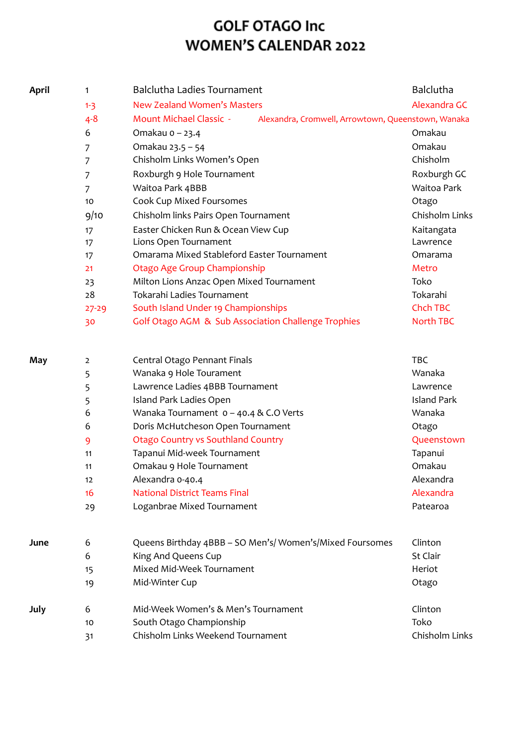| <b>April</b> | 1              | <b>Balclutha Ladies Tournament</b>                                                   | Balclutha          |
|--------------|----------------|--------------------------------------------------------------------------------------|--------------------|
|              | $1 - 3$        | New Zealand Women's Masters                                                          | Alexandra GC       |
|              | $4 - 8$        | <b>Mount Michael Classic -</b><br>Alexandra, Cromwell, Arrowtown, Queenstown, Wanaka |                    |
|              | 6              | Omakau o - 23.4                                                                      | Omakau             |
|              | 7              | Omakau 23.5 - 54                                                                     | Omakau             |
|              | 7              | Chisholm Links Women's Open                                                          | Chisholm           |
|              | 7              | Roxburgh 9 Hole Tournament                                                           | Roxburgh GC        |
|              | $\overline{7}$ | Waitoa Park 4BBB                                                                     | <b>Waitoa Park</b> |
|              | 10             | Cook Cup Mixed Foursomes                                                             | Otago              |
|              | 9/10           | Chisholm links Pairs Open Tournament                                                 | Chisholm Links     |
|              | 17             | Easter Chicken Run & Ocean View Cup                                                  | Kaitangata         |
|              | 17             | Lions Open Tournament                                                                | Lawrence           |
|              | 17             | Omarama Mixed Stableford Easter Tournament                                           | Omarama            |
|              | 21             | Otago Age Group Championship                                                         | Metro              |
|              | 23             | Milton Lions Anzac Open Mixed Tournament                                             | Toko               |
|              | 28             | Tokarahi Ladies Tournament                                                           | Tokarahi           |
|              | $27 - 29$      | South Island Under 19 Championships                                                  | <b>Chch TBC</b>    |
|              | 30             | Golf Otago AGM & Sub Association Challenge Trophies                                  | <b>North TBC</b>   |
| May          | $\overline{2}$ | Central Otago Pennant Finals                                                         | <b>TBC</b>         |
|              | 5              | Wanaka 9 Hole Tourament                                                              | Wanaka             |
|              | 5              | Lawrence Ladies 4BBB Tournament                                                      | Lawrence           |
|              | 5              | Island Park Ladies Open                                                              | <b>Island Park</b> |
|              | 6              | Wanaka Tournament $0 - 40.4$ & C.O Verts                                             | Wanaka             |
|              | 6              | Doris McHutcheson Open Tournament                                                    | Otago              |
|              | 9              | <b>Otago Country vs Southland Country</b>                                            | Queenstown         |
|              | 11             | Tapanui Mid-week Tournament                                                          | Tapanui            |
|              | 11             | Omakau 9 Hole Tournament                                                             | Omakau             |
|              | 12             | Alexandra 0-40.4                                                                     | Alexandra          |
|              | 16             | <b>National District Teams Final</b>                                                 | Alexandra          |
|              | 29             | Loganbrae Mixed Tournament                                                           | Patearoa           |
| June         | 6              | Queens Birthday 4BBB - SO Men's/Women's/Mixed Foursomes                              | Clinton            |
|              | 6              | King And Queens Cup                                                                  | St Clair           |
|              | 15             | Mixed Mid-Week Tournament                                                            | Heriot             |
|              | 19             | Mid-Winter Cup                                                                       | Otago              |

| July |    | Mid-Week Women's & Men's Tournament | Clinton        |
|------|----|-------------------------------------|----------------|
|      | 10 | South Otago Championship            | Toko           |
|      | 31 | Chisholm Links Weekend Tournament   | Chisholm Links |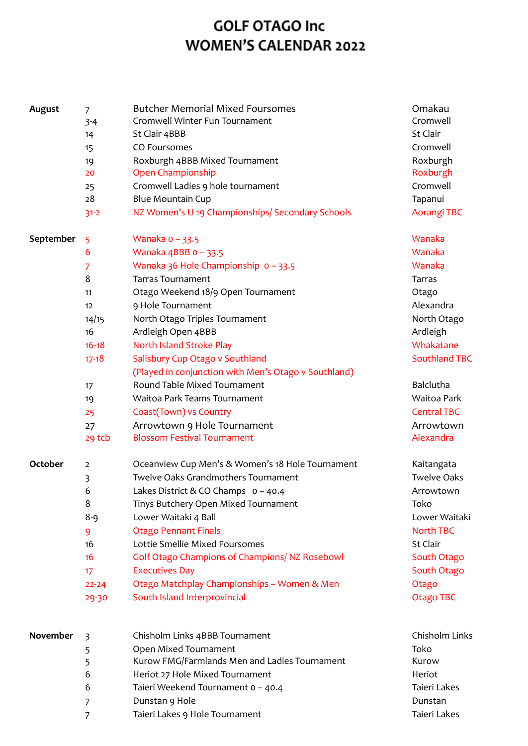| August         | 7                                                                                                       | <b>Butcher Memorial Mixed Foursomes</b>                                                                                                                                                                                                                                                                                                                                                                                                                                                                                  | Omakau                                                                                                                                                                                                        |
|----------------|---------------------------------------------------------------------------------------------------------|--------------------------------------------------------------------------------------------------------------------------------------------------------------------------------------------------------------------------------------------------------------------------------------------------------------------------------------------------------------------------------------------------------------------------------------------------------------------------------------------------------------------------|---------------------------------------------------------------------------------------------------------------------------------------------------------------------------------------------------------------|
|                | $3 - 4$                                                                                                 | Cromwell Winter Fun Tournament                                                                                                                                                                                                                                                                                                                                                                                                                                                                                           | Cromwell                                                                                                                                                                                                      |
|                | 14                                                                                                      | St Clair 4BBB                                                                                                                                                                                                                                                                                                                                                                                                                                                                                                            | St Clair                                                                                                                                                                                                      |
|                | 15                                                                                                      | CO Foursomes                                                                                                                                                                                                                                                                                                                                                                                                                                                                                                             | Cromwell                                                                                                                                                                                                      |
|                | 19                                                                                                      | Roxburgh 4BBB Mixed Tournament                                                                                                                                                                                                                                                                                                                                                                                                                                                                                           | Roxburgh                                                                                                                                                                                                      |
|                | 20                                                                                                      | Open Championship                                                                                                                                                                                                                                                                                                                                                                                                                                                                                                        | Roxburgh                                                                                                                                                                                                      |
|                | 25                                                                                                      | Cromwell Ladies 9 hole tournament                                                                                                                                                                                                                                                                                                                                                                                                                                                                                        | Cromwell                                                                                                                                                                                                      |
|                | 28                                                                                                      | <b>Blue Mountain Cup</b>                                                                                                                                                                                                                                                                                                                                                                                                                                                                                                 | Tapanui                                                                                                                                                                                                       |
|                | $31 - 2$                                                                                                | NZ Women's U 19 Championships/ Secondary Schools                                                                                                                                                                                                                                                                                                                                                                                                                                                                         | Aorangi TBC                                                                                                                                                                                                   |
| September      | 5<br>6<br>7<br>8<br>11<br>12<br>14/15<br>16<br>$16 - 18$<br>$17 - 18$<br>17<br>19<br>25<br>27<br>29 tcb | Wanaka $0 - 33.5$<br>Wanaka $4BBB$ o - 33.5<br>Wanaka 36 Hole Championship 0 - 33.5<br><b>Tarras Tournament</b><br>Otago Weekend 18/9 Open Tournament<br>9 Hole Tournament<br>North Otago Triples Tournament<br>Ardleigh Open 4BBB<br>North Island Stroke Play<br>Salisbury Cup Otago v Southland<br>(Played in conjunction with Men's Otago v Southland)<br>Round Table Mixed Tournament<br>Waitoa Park Teams Tournament<br>Coast(Town) vs Country<br>Arrowtown 9 Hole Tournament<br><b>Blossom Festival Tournament</b> | Wanaka<br>Wanaka<br>Wanaka<br><b>Tarras</b><br>Otago<br>Alexandra<br>North Otago<br>Ardleigh<br>Whakatane<br><b>Southland TBC</b><br>Balclutha<br>Waitoa Park<br><b>Central TBC</b><br>Arrowtown<br>Alexandra |
| <b>October</b> | 2                                                                                                       | Oceanview Cup Men's & Women's 18 Hole Tournament                                                                                                                                                                                                                                                                                                                                                                                                                                                                         | Kaitangata                                                                                                                                                                                                    |
|                | 3                                                                                                       | Twelve Oaks Grandmothers Tournament                                                                                                                                                                                                                                                                                                                                                                                                                                                                                      | <b>Twelve Oaks</b>                                                                                                                                                                                            |
|                | 6                                                                                                       | Lakes District & CO Champs $0 - 40.4$                                                                                                                                                                                                                                                                                                                                                                                                                                                                                    | Arrowtown                                                                                                                                                                                                     |
|                | 8                                                                                                       | Tinys Butchery Open Mixed Tournament                                                                                                                                                                                                                                                                                                                                                                                                                                                                                     | Toko                                                                                                                                                                                                          |
|                | $8 - 9$                                                                                                 | Lower Waitaki 4 Ball                                                                                                                                                                                                                                                                                                                                                                                                                                                                                                     | Lower Waitaki                                                                                                                                                                                                 |
|                | 9                                                                                                       | <b>Otago Pennant Finals</b>                                                                                                                                                                                                                                                                                                                                                                                                                                                                                              | North TBC                                                                                                                                                                                                     |
|                | 16                                                                                                      | Lottie Smellie Mixed Foursomes                                                                                                                                                                                                                                                                                                                                                                                                                                                                                           | St Clair                                                                                                                                                                                                      |
|                | 16                                                                                                      | Golf Otago Champions of Champions/ NZ Rosebowl                                                                                                                                                                                                                                                                                                                                                                                                                                                                           | South Otago                                                                                                                                                                                                   |
|                | 17                                                                                                      | <b>Executives Day</b>                                                                                                                                                                                                                                                                                                                                                                                                                                                                                                    | South Otago                                                                                                                                                                                                   |
|                | $22 - 24$                                                                                               | Otago Matchplay Championships - Women & Men                                                                                                                                                                                                                                                                                                                                                                                                                                                                              | Otago                                                                                                                                                                                                         |
|                | 29-30                                                                                                   | South Island Interprovincial                                                                                                                                                                                                                                                                                                                                                                                                                                                                                             | Otago TBC                                                                                                                                                                                                     |
| November       | $\overline{3}$                                                                                          | Chisholm Links 4BBB Tournament                                                                                                                                                                                                                                                                                                                                                                                                                                                                                           | Chisholm Links                                                                                                                                                                                                |
|                | 5                                                                                                       | Open Mixed Tournament                                                                                                                                                                                                                                                                                                                                                                                                                                                                                                    | Toko                                                                                                                                                                                                          |

- 5 Kurow FMG/Farmlands Men and Ladies Tournament Kurow 6 Heriot 27 Hole Mixed Tournament **Heriot** Heriot 6 Taieri Weekend Tournament 0 – 40.4 Taieri Lakes 7 Dunstan 9 Hole Dunstan Bunstan Dunstan Dunstan
- 7 Taieri Lakes 9 Hole Tournament **Taieri Lakes** Taieri Lakes